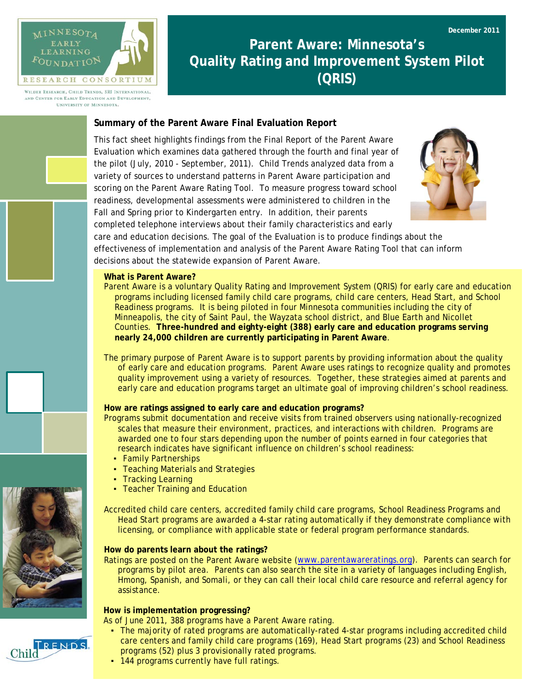

WILDER RESEARCH, CHILD TRENDS, SRI INTERNATIONAL AND CENTER FOR EARLY EDUCATION AND DEVELOPMENT. UNIVERSITY OF MINNESOTA.

# **Parent Aware: Minnesota's Quality Rating and Improvement System Pilot (QRIS)**

## **Summary of the Parent Aware Final Evaluation Report**

This fact sheet highlights findings from the Final Report of the Parent Aware Evaluation which examines data gathered through the fourth and final year of the pilot (July, 2010 - September, 2011). Child Trends analyzed data from a variety of sources to understand patterns in Parent Aware participation and scoring on the Parent Aware Rating Tool. To measure progress toward school readiness, developmental assessments were administered to children in the Fall and Spring prior to Kindergarten entry. In addition, their parents completed telephone interviews about their family characteristics and early



care and education decisions. The goal of the Evaluation is to produce findings about the effectiveness of implementation and analysis of the Parent Aware Rating Tool that can inform decisions about the statewide expansion of Parent Aware.

#### **What is Parent Aware?**

Parent Aware is a voluntary Quality Rating and Improvement System (QRIS) for early care and education programs including licensed family child care programs, child care centers, Head Start, and School Readiness programs. It is being piloted in four Minnesota communities including the city of Minneapolis, the city of Saint Paul, the Wayzata school district, and Blue Earth and Nicollet Counties. **Three-hundred and eighty-eight (388) early care and education programs serving nearly 24,000 children are currently participating in Parent Aware**.

The primary purpose of Parent Aware is to support parents by providing information about the quality of early care and education programs. Parent Aware uses ratings to recognize quality and promotes quality improvement using a variety of resources. Together, these strategies aimed at parents and early care and education programs target an ultimate goal of improving children's school readiness.

#### **How are ratings assigned to early care and education programs?**

Programs submit documentation and receive visits from trained observers using nationally-recognized scales that measure their environment, practices, and interactions with children. Programs are awarded one to four stars depending upon the number of points earned in four categories that research indicates have significant influence on children's school readiness:

- Family Partnerships
- **Teaching Materials and Strategies**
- Tracking Learning
- **Teacher Training and Education**

Accredited child care centers, accredited family child care programs, School Readiness Programs and Head Start programs are awarded a 4-star rating automatically if they demonstrate compliance with licensing, or compliance with applicable state or federal program performance standards.

#### **How do parents learn about the ratings?**

Ratings are posted on the Parent Aware website [\(www.parentawareratings.org\)](http://www.parentawareratings.org/). Parents can search for programs by pilot area. Parents can also search the site in a variety of languages including English, Hmong, Spanish, and Somali, or they can call their local child care resource and referral agency for assistance.

#### **How is implementation progressing?**

As of June 2011, 388 programs have a Parent Aware rating.

- The majority of rated programs are automatically-rated 4-star programs including accredited child care centers and family child care programs (169), Head Start programs (23) and School Readiness programs (52) plus 3 provisionally rated programs.
- 144 programs currently have full ratings.